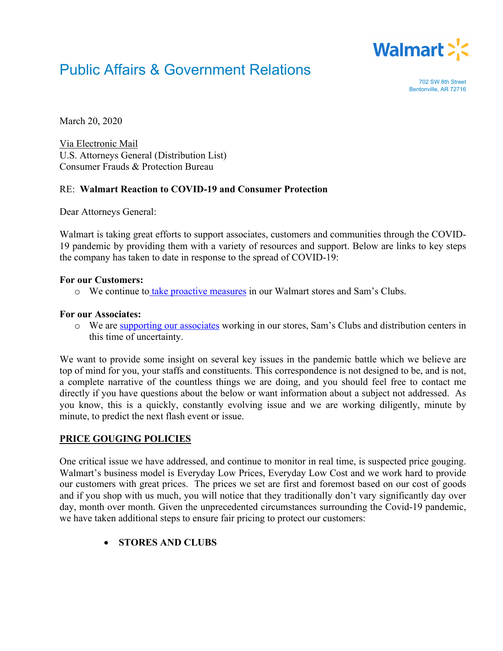

# Public Affairs & Government Relations

702 SW 8th Street Bentonville, AR 72716

March 20, 2020

Via Electronic Mail U.S. Attorneys General (Distribution List) Consumer Frauds & Protection Bureau

# RE: **Walmart Reaction to COVID-19 and Consumer Protection**

Dear Attorneys General:

Walmart is taking great efforts to support associates, customers and communities through the COVID-19 pandemic by providing them with a variety of resources and support. Below are links to key steps the company has taken to date in response to the spread of COVID-19:

#### **For our Customers:**

o We continue to take proactive measures in our Walmart stores and Sam's Clubs.

#### **For our Associates:**

o We are supporting our associates working in our stores, Sam's Clubs and distribution centers in this time of uncertainty.

We want to provide some insight on several key issues in the pandemic battle which we believe are top of mind for you, your staffs and constituents. This correspondence is not designed to be, and is not, a complete narrative of the countless things we are doing, and you should feel free to contact me directly if you have questions about the below or want information about a subject not addressed. As you know, this is a quickly, constantly evolving issue and we are working diligently, minute by minute, to predict the next flash event or issue.

## **PRICE GOUGING POLICIES**

One critical issue we have addressed, and continue to monitor in real time, is suspected price gouging. Walmart's business model is Everyday Low Prices, Everyday Low Cost and we work hard to provide our customers with great prices. The prices we set are first and foremost based on our cost of goods and if you shop with us much, you will notice that they traditionally don't vary significantly day over day, month over month. Given the unprecedented circumstances surrounding the Covid-19 pandemic, we have taken additional steps to ensure fair pricing to protect our customers:

• **STORES AND CLUBS**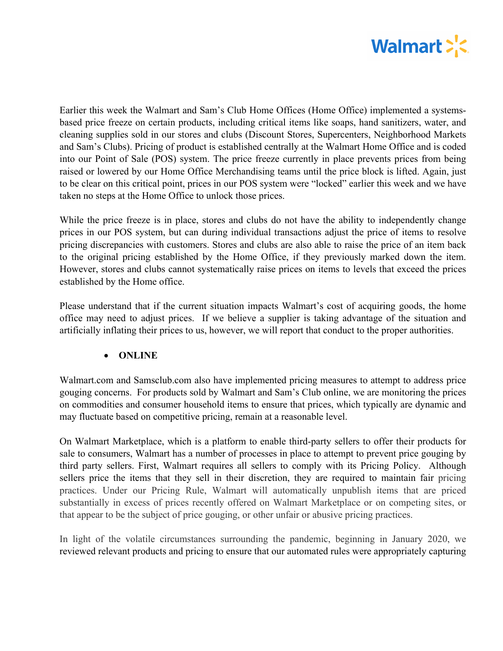

Earlier this week the Walmart and Sam's Club Home Offices (Home Office) implemented a systemsbased price freeze on certain products, including critical items like soaps, hand sanitizers, water, and cleaning supplies sold in our stores and clubs (Discount Stores, Supercenters, Neighborhood Markets and Sam's Clubs). Pricing of product is established centrally at the Walmart Home Office and is coded into our Point of Sale (POS) system. The price freeze currently in place prevents prices from being raised or lowered by our Home Office Merchandising teams until the price block is lifted. Again, just to be clear on this critical point, prices in our POS system were "locked" earlier this week and we have taken no steps at the Home Office to unlock those prices.

While the price freeze is in place, stores and clubs do not have the ability to independently change prices in our POS system, but can during individual transactions adjust the price of items to resolve pricing discrepancies with customers. Stores and clubs are also able to raise the price of an item back to the original pricing established by the Home Office, if they previously marked down the item. However, stores and clubs cannot systematically raise prices on items to levels that exceed the prices established by the Home office.

Please understand that if the current situation impacts Walmart's cost of acquiring goods, the home office may need to adjust prices. If we believe a supplier is taking advantage of the situation and artificially inflating their prices to us, however, we will report that conduct to the proper authorities.

# • **ONLINE**

Walmart.com and Samsclub.com also have implemented pricing measures to attempt to address price gouging concerns. For products sold by Walmart and Sam's Club online, we are monitoring the prices on commodities and consumer household items to ensure that prices, which typically are dynamic and may fluctuate based on competitive pricing, remain at a reasonable level.

On Walmart Marketplace, which is a platform to enable third-party sellers to offer their products for sale to consumers, Walmart has a number of processes in place to attempt to prevent price gouging by third party sellers. First, Walmart requires all sellers to comply with its Pricing Policy. Although sellers price the items that they sell in their discretion, they are required to maintain fair pricing practices. Under our Pricing Rule, Walmart will automatically unpublish items that are priced substantially in excess of prices recently offered on Walmart Marketplace or on competing sites, or that appear to be the subject of price gouging, or other unfair or abusive pricing practices.

In light of the volatile circumstances surrounding the pandemic, beginning in January 2020, we reviewed relevant products and pricing to ensure that our automated rules were appropriately capturing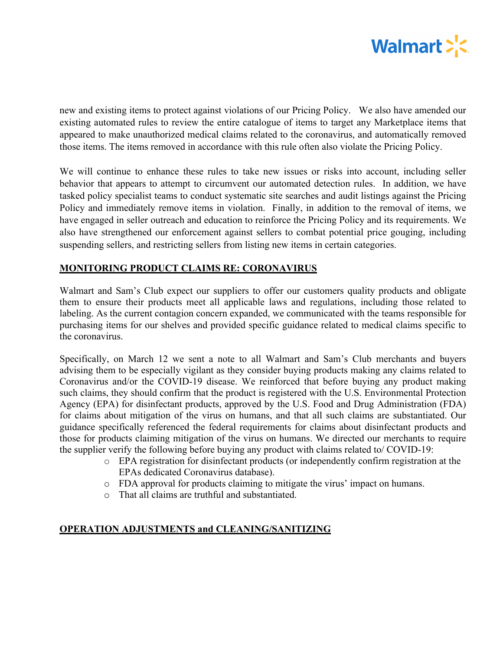

new and existing items to protect against violations of our Pricing Policy. We also have amended our existing automated rules to review the entire catalogue of items to target any Marketplace items that appeared to make unauthorized medical claims related to the coronavirus, and automatically removed those items. The items removed in accordance with this rule often also violate the Pricing Policy.

We will continue to enhance these rules to take new issues or risks into account, including seller behavior that appears to attempt to circumvent our automated detection rules. In addition, we have tasked policy specialist teams to conduct systematic site searches and audit listings against the Pricing Policy and immediately remove items in violation. Finally, in addition to the removal of items, we have engaged in seller outreach and education to reinforce the Pricing Policy and its requirements. We also have strengthened our enforcement against sellers to combat potential price gouging, including suspending sellers, and restricting sellers from listing new items in certain categories.

## **MONITORING PRODUCT CLAIMS RE: CORONAVIRUS**

Walmart and Sam's Club expect our suppliers to offer our customers quality products and obligate them to ensure their products meet all applicable laws and regulations, including those related to labeling. As the current contagion concern expanded, we communicated with the teams responsible for purchasing items for our shelves and provided specific guidance related to medical claims specific to the coronavirus.

Specifically, on March 12 we sent a note to all Walmart and Sam's Club merchants and buyers advising them to be especially vigilant as they consider buying products making any claims related to Coronavirus and/or the COVID-19 disease. We reinforced that before buying any product making such claims, they should confirm that the product is registered with the U.S. Environmental Protection Agency (EPA) for disinfectant products, approved by the U.S. Food and Drug Administration (FDA) for claims about mitigation of the virus on humans, and that all such claims are substantiated. Our guidance specifically referenced the federal requirements for claims about disinfectant products and those for products claiming mitigation of the virus on humans. We directed our merchants to require the supplier verify the following before buying any product with claims related to/ COVID-19:

- o EPA registration for disinfectant products (or independently confirm registration at the EPAs dedicated Coronavirus database).
- o FDA approval for products claiming to mitigate the virus' impact on humans.
- o That all claims are truthful and substantiated.

## **OPERATION ADJUSTMENTS and CLEANING/SANITIZING**